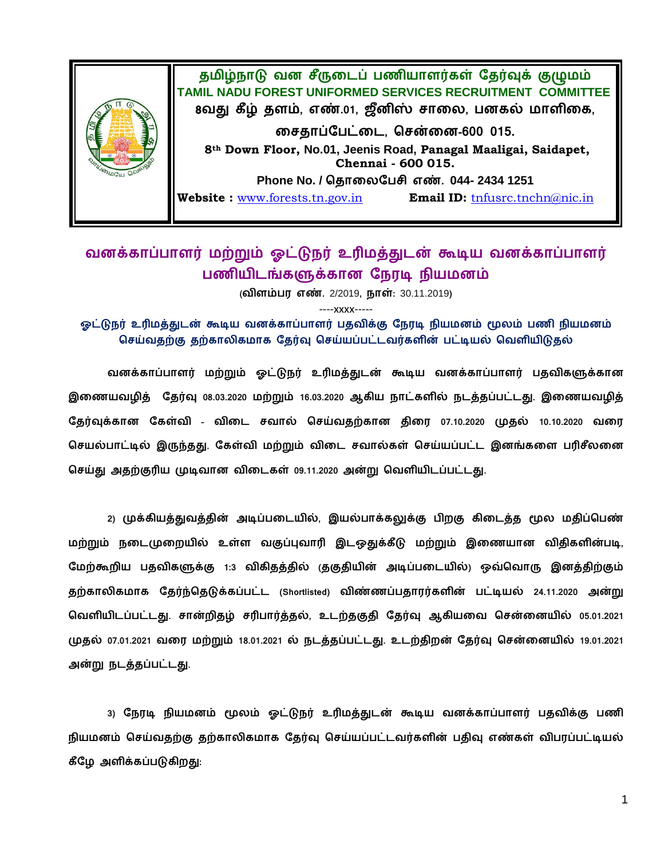

## வனக்காப்பாளர் மற்றும் ஓட்டுநர் உரிமத்துடன் கூடிய வனக்காப்பாளர் பணியிடங்களுக்கான நேரடி நியமனம்

( **.** 2/2019**, :** 30.11.2019**)**

----xxxx-----

ஓட்டுநர் உரிமத்துடன் கூடிய வனக்காப்பாளர் பதவிக்கு நேரடி நியமனம் மூலம் பணி நியமனம் செய்வதற்கு தற்காலிகமாக தேர்வு செய்யப்பட்டவர்களின் பட்டியல் வெளியிடுதல்

வனக்காப்பாளர் மற்றும் ஓட்டுநர் உரிமத்துடன் கூடிய வனக்காப்பாளர் பதவிகளுக்கான இணையவழித் தேர்வு 08.03.2020 மற்றும் 16.03.2020 ஆகிய நாட்களில் நடத்தப்பட்டது. இணையவழித் கேர்வக்கான கேள்வி - விடை சவால் செய்வகற்கான கிரை 07.10.2020 முகல் 10.10.2020 வரை செயல்பாட்டில் இருந்தது. கேள்வி மற்றும் விடை சவால்கள் செய்யப்பட்ட இனங்களை பரிசீலனை செய்து அதற்குரிய முடிவான விடைகள் 09.11.2020 அன்று வெளியிடப்பட்டது.

2) முக்கியத்துவத்தின் அடிப்படையில், இயல்பாக்கலுக்கு பிறகு கிடைத்த மூல மதிப்பெண் மற்றும் நடைமுறையில் உள்ள வகுப்புவாரி இடஒதுக்கீடு மற்றும் இணையான விதிகளின்படி, மேற்கூறிய பதவிகளுக்கு 1:3 விகிதத்தில் குகுதியின் அடிப்படையில்) ஒவ்வொரு இனத்திற்கும்  **(Shortlisted) 24.11.2020**  வெளியிடப்பட்டது. சான்றிதழ் சரிபார்த்தல், உடற்தகுதி தேர்வு ஆகியவை சென்னையில் 05.01.2021 **முதல் 07.01.2021 வரை மற்றும் 18.01.2021 ல் நடத்தப்பட்டது. உடற்திறன் தேர்வு சென்னையில் 19.01.2021 .**

3) நேரடி நியமனம் மூலம் ஓட்டுநர் உரிமத்துடன் கூடிய வனக்காப்பாளர் பதவிக்கு பணி நியமனம் செய்வதற்கு தற்காலிகமாக தேர்வு செய்யப்பட்டவர்களின் பதிவு எண்கள் விபரப்பட்டியல்  **:**